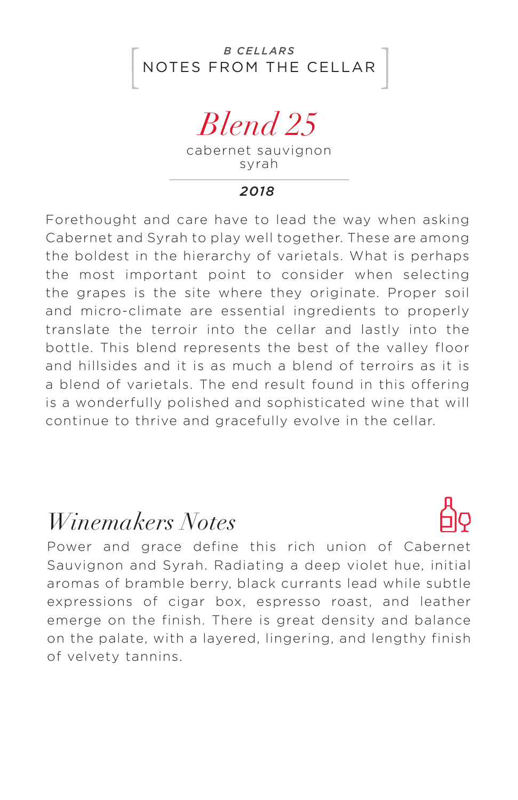### NOTES FROM THE CELLAR *B CELLARS*

# *Blend 25*

cabernet sauvignon syrah

#### *2018*

Forethought and care have to lead the way when asking Cabernet and Syrah to play well together. These are among the boldest in the hierarchy of varietals. What is perhaps the most important point to consider when selecting the grapes is the site where they originate. Proper soil and micro-climate are essential ingredients to properly translate the terroir into the cellar and lastly into the bottle. This blend represents the best of the valley floor and hillsides and it is as much a blend of terroirs as it is a blend of varietals. The end result found in this offering is a wonderfully polished and sophisticated wine that will continue to thrive and gracefully evolve in the cellar.

### *Winemakers Notes*

Power and grace define this rich union of Cabernet Sauvignon and Syrah. Radiating a deep violet hue, initial aromas of bramble berry, black currants lead while subtle expressions of cigar box, espresso roast, and leather emerge on the finish. There is great density and balance on the palate, with a layered, lingering, and lengthy finish of velvety tannins.